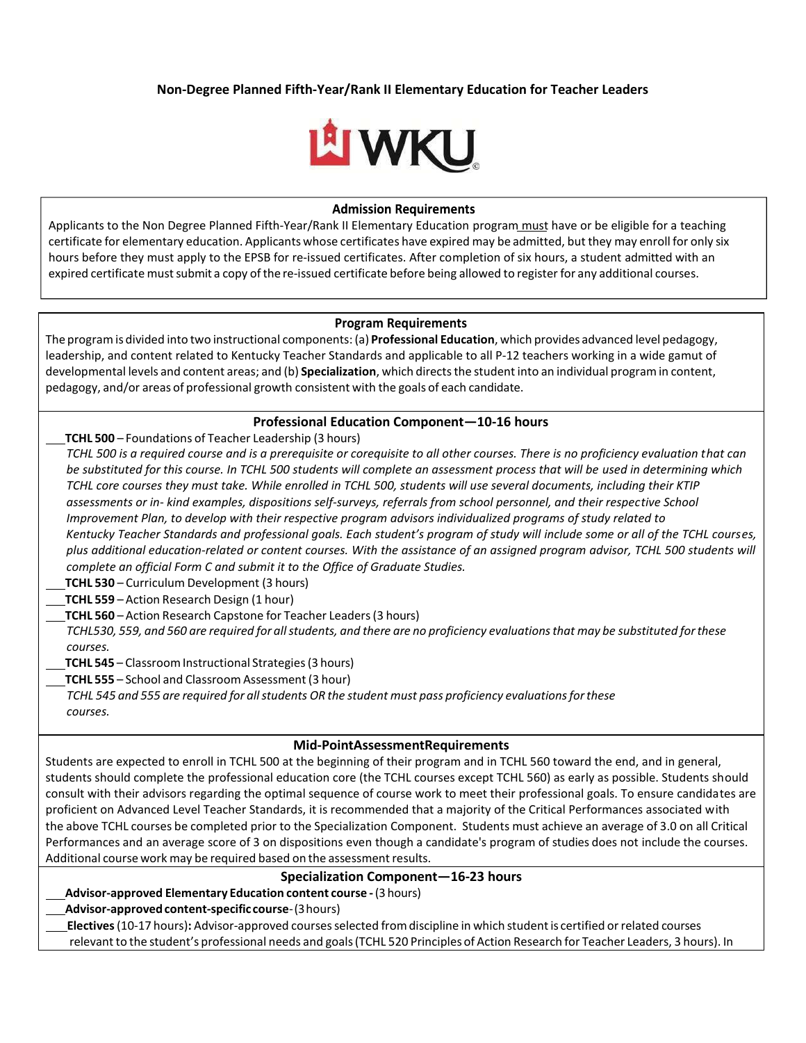# **Non‐Degree Planned Fifth‐Year/Rank II Elementary Education for Teacher Leaders**



#### **Admission Requirements**

Applicants to the Non Degree Planned Fifth-Year/Rank II Elementary Education program must have or be eligible for a teaching certificate for elementary education. Applicants whose certificates have expired may be admitted, but they may enroll for only six hours before they must apply to the EPSB for re‐issued certificates. After completion of six hours, a student admitted with an expired certificate must submit a copy of the re-issued certificate before being allowed to register for any additional courses.

#### **Program Requirements**

The programis divided into two instructional components: (a) **Professional Education**, which provides advanced level pedagogy, leadership, and content related to Kentucky Teacher Standards and applicable to all P‐12 teachers working in a wide gamut of developmental levels and content areas; and (b) **Specialization**, which directsthe student into an individual programin content, pedagogy, and/or areas of professional growth consistent with the goals of each candidate.

### **Professional Education Component—10‐16 hours**

**TCHL 500** – Foundations of Teacher Leadership (3 hours)

*TCHL 500 is a required course and is a prerequisite or corequisite to all other courses. There is no proficiency evaluation that can be substituted for this course. In TCHL 500 students will complete an assessment process that will be used in determining which TCHL core courses they must take. While enrolled in TCHL 500, students will use several documents, including their KTIP assessments or in‐ kind examples, dispositions self‐surveys, referrals from school personnel, and their respective School Improvement Plan, to develop with their respective program advisors individualized programs of study related to Kentucky Teacher Standards and professional goals. Each student's program of study will include some or all of the TCHL courses, plus additional education‐related or content courses. With the assistance of an assigned program advisor, TCHL 500 students will complete an official Form C and submit it to the Office of Graduate Studies.*

**TCHL 530** – Curriculum Development (3 hours)

**TCHL 559** – Action Research Design (1 hour)

**TCHL 560** – Action Research Capstone for Teacher Leaders(3 hours)

TCHL530, 559, and 560 are required for all students, and there are no proficiency evaluations that may be substituted for these *courses.*

**TCHL 545** – Classroom Instructional Strategies (3 hours)

**TCHL 555** – School and Classroom Assessment (3 hour)

*TCHL 545 and 555 are required for allstudents OR the student must pass proficiency evaluationsforthese courses.*

### **Mid‐PointAssessmentRequirements**

Students are expected to enroll in TCHL 500 at the beginning of their program and in TCHL 560 toward the end, and in general, students should complete the professional education core (the TCHL courses except TCHL 560) as early as possible. Students should consult with their advisors regarding the optimal sequence of course work to meet their professional goals. To ensure candidates are proficient on Advanced Level Teacher Standards, it is recommended that a majority of the Critical Performances associated with the above TCHL courses be completed prior to the Specialization Component. Students must achieve an average of 3.0 on all Critical Performances and an average score of 3 on dispositions even though a candidate's program of studies does not include the courses. Additional course work may be required based on the assessment results.

## **Specialization Component—16‐23 hours**

**Advisor‐approved Elementary Education content course ‐**(3 hours)

**Advisor‐approvedcontent‐specific course**‐(3hours)

**Electives**(10‐17 hours)**:** Advisor‐approved coursesselected fromdiscipline in which studentis certified orrelated courses relevantto the student's professional needs and goals(TCHL 520 Principles of Action Research for Teacher Leaders, 3 hours). In